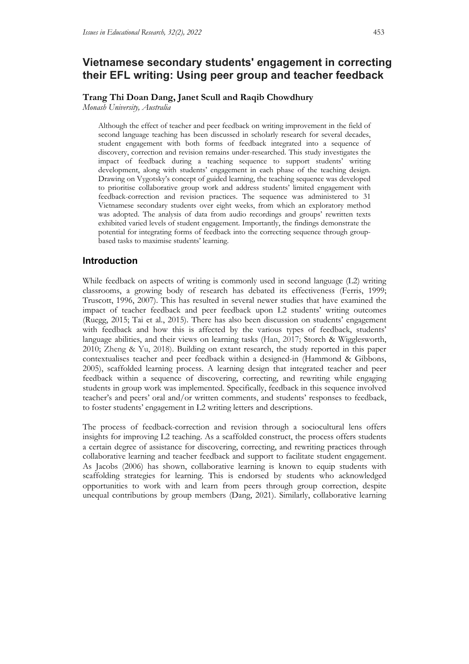# **Vietnamese secondary students' engagement in correcting their EFL writing: Using peer group and teacher feedback**

## **Trang Thi Doan Dang, Janet Scull and Raqib Chowdhury**

*Monash University, Australia*

Although the effect of teacher and peer feedback on writing improvement in the field of second language teaching has been discussed in scholarly research for several decades, student engagement with both forms of feedback integrated into a sequence of discovery, correction and revision remains under-researched. This study investigates the impact of feedback during a teaching sequence to support students' writing development, along with students' engagement in each phase of the teaching design. Drawing on Vygotsky's concept of guided learning, the teaching sequence was developed to prioritise collaborative group work and address students' limited engagement with feedback-correction and revision practices. The sequence was administered to 31 Vietnamese secondary students over eight weeks, from which an exploratory method was adopted. The analysis of data from audio recordings and groups' rewritten texts exhibited varied levels of student engagement. Importantly, the findings demonstrate the potential for integrating forms of feedback into the correcting sequence through groupbased tasks to maximise students' learning.

## **Introduction**

While feedback on aspects of writing is commonly used in second language (L2) writing classrooms, a growing body of research has debated its effectiveness (Ferris, 1999; Truscott, 1996, 2007). This has resulted in several newer studies that have examined the impact of teacher feedback and peer feedback upon L2 students' writing outcomes (Ruegg, 2015; Tai et al., 2015). There has also been discussion on students' engagement with feedback and how this is affected by the various types of feedback, students' language abilities, and their views on learning tasks (Han, 2017; Storch & Wigglesworth, 2010; Zheng & Yu, 2018). Building on extant research, the study reported in this paper contextualises teacher and peer feedback within a designed-in (Hammond & Gibbons, 2005), scaffolded learning process. A learning design that integrated teacher and peer feedback within a sequence of discovering, correcting, and rewriting while engaging students in group work was implemented. Specifically, feedback in this sequence involved teacher's and peers' oral and/or written comments, and students' responses to feedback, to foster students' engagement in L2 writing letters and descriptions.

The process of feedback-correction and revision through a sociocultural lens offers insights for improving L2 teaching. As a scaffolded construct, the process offers students a certain degree of assistance for discovering, correcting, and rewriting practices through collaborative learning and teacher feedback and support to facilitate student engagement. As Jacobs (2006) has shown, collaborative learning is known to equip students with scaffolding strategies for learning. This is endorsed by students who acknowledged opportunities to work with and learn from peers through group correction, despite unequal contributions by group members (Dang, 2021). Similarly, collaborative learning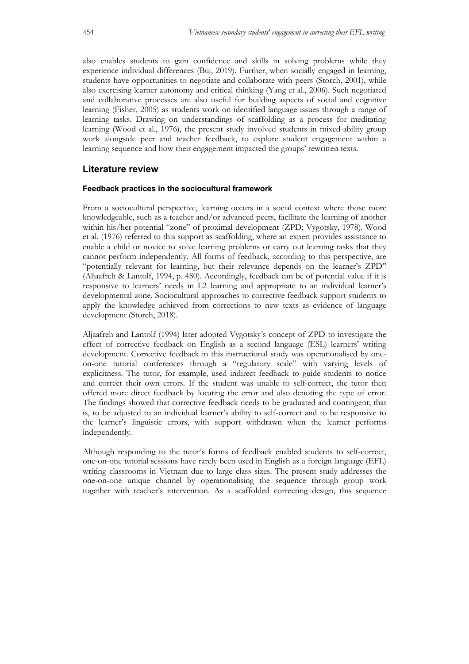also enables students to gain confidence and skills in solving problems while they experience individual differences (Bui, 2019). Further, when socially engaged in learning, students have opportunities to negotiate and collaborate with peers (Storch, 2001), while also exercising learner autonomy and critical thinking (Yang et al., 2006). Such negotiated and collaborative processes are also useful for building aspects of social and cognitive learning (Fisher, 2005) as students work on identified language issues through a range of learning tasks. Drawing on understandings of scaffolding as a process for meditating learning (Wood et al., 1976), the present study involved students in mixed-ability group work alongside peer and teacher feedback, to explore student engagement within a learning sequence and how their engagement impacted the groups' rewritten texts.

## **Literature review**

## **Feedback practices in the sociocultural framework**

From a sociocultural perspective, learning occurs in a social context where those more knowledgeable, such as a teacher and/or advanced peers, facilitate the learning of another within his/her potential "zone" of proximal development (ZPD; Vygotsky, 1978). Wood et al. (1976) referred to this support as scaffolding, where an expert provides assistance to enable a child or novice to solve learning problems or carry out learning tasks that they cannot perform independently. All forms of feedback, according to this perspective, are "potentially relevant for learning, but their relevance depends on the learner's ZPD" (Aljaafreh & Lantolf, 1994, p. 480). Accordingly, feedback can be of potential value if it is responsive to learners' needs in L2 learning and appropriate to an individual learner's developmental zone. Sociocultural approaches to corrective feedback support students to apply the knowledge achieved from corrections to new texts as evidence of language development (Storch, 2018).

Aljaafreh and Lantolf (1994) later adopted Vygotsky's concept of ZPD to investigate the effect of corrective feedback on English as a second language (ESL) learners' writing development. Corrective feedback in this instructional study was operationalised by oneon-one tutorial conferences through a "regulatory scale" with varying levels of explicitness. The tutor, for example, used indirect feedback to guide students to notice and correct their own errors. If the student was unable to self-correct, the tutor then offered more direct feedback by locating the error and also denoting the type of error. The findings showed that corrective feedback needs to be graduated and contingent; that is, to be adjusted to an individual learner's ability to self-correct and to be responsive to the learner's linguistic errors, with support withdrawn when the learner performs independently.

Although responding to the tutor's forms of feedback enabled students to self-correct, one-on-one tutorial sessions have rarely been used in English as a foreign language (EFL) writing classrooms in Vietnam due to large class sizes. The present study addresses the one-on-one unique channel by operationalising the sequence through group work together with teacher's intervention. As a scaffolded correcting design, this sequence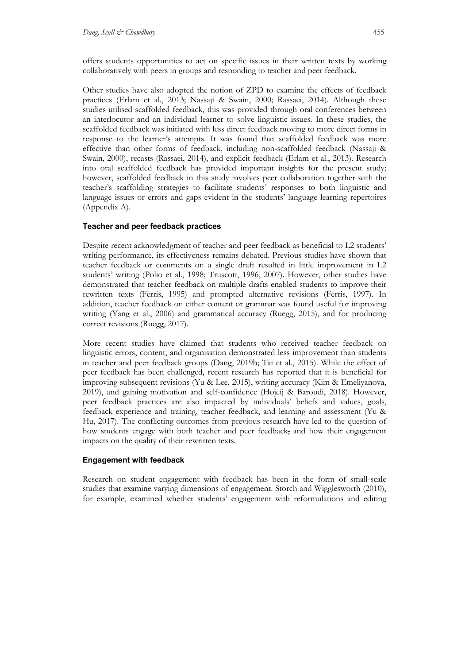offers students opportunities to act on specific issues in their written texts by working collaboratively with peers in groups and responding to teacher and peer feedback.

Other studies have also adopted the notion of ZPD to examine the effects of feedback practices (Erlam et al., 2013; Nassaji & Swain, 2000; Rassaei, 2014). Although these studies utilised scaffolded feedback, this was provided through oral conferences between an interlocutor and an individual learner to solve linguistic issues. In these studies, the scaffolded feedback was initiated with less direct feedback moving to more direct forms in response to the learner's attempts. It was found that scaffolded feedback was more effective than other forms of feedback, including non-scaffolded feedback (Nassaji & Swain, 2000), recasts (Rassaei, 2014), and explicit feedback (Erlam et al., 2013). Research into oral scaffolded feedback has provided important insights for the present study; however, scaffolded feedback in this study involves peer collaboration together with the teacher's scaffolding strategies to facilitate students' responses to both linguistic and language issues or errors and gaps evident in the students' language learning repertoires (Appendix A).

#### **Teacher and peer feedback practices**

Despite recent acknowledgment of teacher and peer feedback as beneficial to L2 students' writing performance, its effectiveness remains debated. Previous studies have shown that teacher feedback or comments on a single draft resulted in little improvement in L2 students' writing (Polio et al., 1998; Truscott, 1996, 2007). However, other studies have demonstrated that teacher feedback on multiple drafts enabled students to improve their rewritten texts (Ferris, 1995) and prompted alternative revisions (Ferris, 1997). In addition, teacher feedback on either content or grammar was found useful for improving writing (Yang et al., 2006) and grammatical accuracy (Ruegg, 2015), and for producing correct revisions (Ruegg, 2017).

More recent studies have claimed that students who received teacher feedback on linguistic errors, content, and organisation demonstrated less improvement than students in teacher and peer feedback groups (Dang, 2019b; Tai et al., 2015). While the effect of peer feedback has been challenged, recent research has reported that it is beneficial for improving subsequent revisions (Yu & Lee, 2015), writing accuracy (Kim & Emeliyanova, 2019), and gaining motivation and self-confidence (Hojeij & Baroudi, 2018). However, peer feedback practices are also impacted by individuals' beliefs and values, goals, feedback experience and training, teacher feedback, and learning and assessment (Yu & Hu, 2017). The conflicting outcomes from previous research have led to the question of how students engage with both teacher and peer feedback, and how their engagement impacts on the quality of their rewritten texts.

#### **Engagement with feedback**

Research on student engagement with feedback has been in the form of small-scale studies that examine varying dimensions of engagement. Storch and Wigglesworth (2010), for example, examined whether students' engagement with reformulations and editing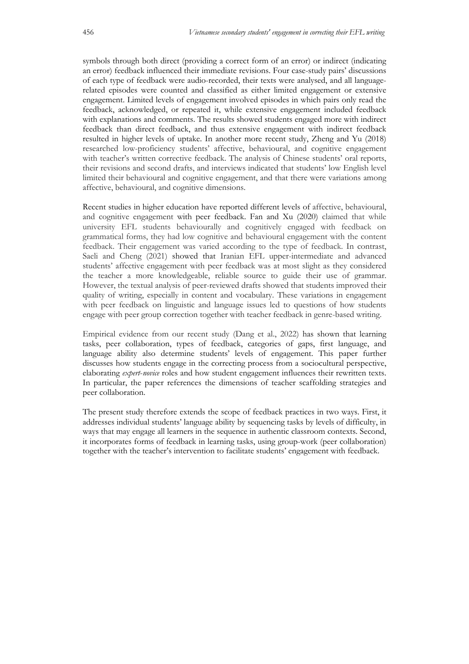symbols through both direct (providing a correct form of an error) or indirect (indicating an error) feedback influenced their immediate revisions. Four case-study pairs' discussions of each type of feedback were audio-recorded, their texts were analysed, and all languagerelated episodes were counted and classified as either limited engagement or extensive engagement. Limited levels of engagement involved episodes in which pairs only read the feedback, acknowledged, or repeated it, while extensive engagement included feedback with explanations and comments. The results showed students engaged more with indirect feedback than direct feedback, and thus extensive engagement with indirect feedback resulted in higher levels of uptake. In another more recent study, Zheng and Yu (2018) researched low-proficiency students' affective, behavioural, and cognitive engagement with teacher's written corrective feedback. The analysis of Chinese students' oral reports, their revisions and second drafts, and interviews indicated that students' low English level limited their behavioural and cognitive engagement, and that there were variations among affective, behavioural, and cognitive dimensions.

Recent studies in higher education have reported different levels of affective, behavioural, and cognitive engagement with peer feedback. Fan and Xu (2020) claimed that while university EFL students behaviourally and cognitively engaged with feedback on grammatical forms, they had low cognitive and behavioural engagement with the content feedback. Their engagement was varied according to the type of feedback. In contrast, Saeli and Cheng (2021) showed that Iranian EFL upper-intermediate and advanced students' affective engagement with peer feedback was at most slight as they considered the teacher a more knowledgeable, reliable source to guide their use of grammar. However, the textual analysis of peer-reviewed drafts showed that students improved their quality of writing, especially in content and vocabulary. These variations in engagement with peer feedback on linguistic and language issues led to questions of how students engage with peer group correction together with teacher feedback in genre-based writing.

Empirical evidence from our recent study (Dang et al., 2022) has shown that learning tasks, peer collaboration, types of feedback, categories of gaps, first language, and language ability also determine students' levels of engagement. This paper further discusses how students engage in the correcting process from a sociocultural perspective, elaborating *expert*-*novice* roles and how student engagement influences their rewritten texts. In particular, the paper references the dimensions of teacher scaffolding strategies and peer collaboration.

The present study therefore extends the scope of feedback practices in two ways. First, it addresses individual students' language ability by sequencing tasks by levels of difficulty, in ways that may engage all learners in the sequence in authentic classroom contexts. Second, it incorporates forms of feedback in learning tasks, using group-work (peer collaboration) together with the teacher's intervention to facilitate students' engagement with feedback.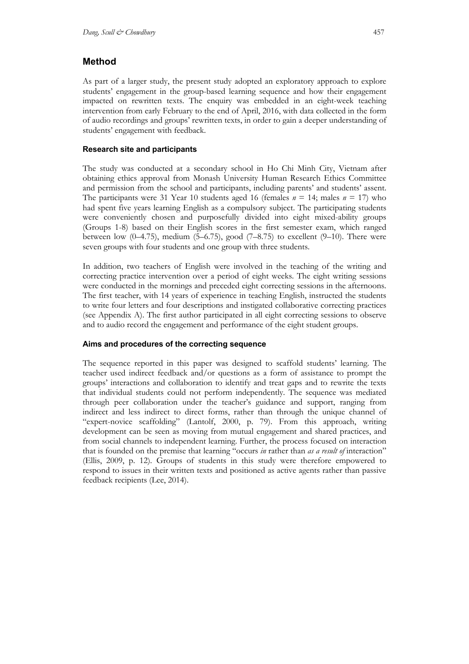## **Method**

As part of a larger study, the present study adopted an exploratory approach to explore students' engagement in the group-based learning sequence and how their engagement impacted on rewritten texts. The enquiry was embedded in an eight-week teaching intervention from early February to the end of April, 2016, with data collected in the form of audio recordings and groups' rewritten texts, in order to gain a deeper understanding of students' engagement with feedback.

## **Research site and participants**

The study was conducted at a secondary school in Ho Chi Minh City, Vietnam after obtaining ethics approval from Monash University Human Research Ethics Committee and permission from the school and participants, including parents' and students' assent. The participants were 31 Year 10 students aged 16 (females  $n = 14$ ; males  $n = 17$ ) who had spent five years learning English as a compulsory subject. The participating students were conveniently chosen and purposefully divided into eight mixed-ability groups (Groups 1-8) based on their English scores in the first semester exam, which ranged between low  $(0-4.75)$ , medium  $(5-6.75)$ , good  $(7-8.75)$  to excellent  $(9-10)$ . There were seven groups with four students and one group with three students.

In addition, two teachers of English were involved in the teaching of the writing and correcting practice intervention over a period of eight weeks. The eight writing sessions were conducted in the mornings and preceded eight correcting sessions in the afternoons. The first teacher, with 14 years of experience in teaching English, instructed the students to write four letters and four descriptions and instigated collaborative correcting practices (see Appendix A). The first author participated in all eight correcting sessions to observe and to audio record the engagement and performance of the eight student groups.

## **Aims and procedures of the correcting sequence**

The sequence reported in this paper was designed to scaffold students' learning. The teacher used indirect feedback and/or questions as a form of assistance to prompt the groups' interactions and collaboration to identify and treat gaps and to rewrite the texts that individual students could not perform independently. The sequence was mediated through peer collaboration under the teacher's guidance and support, ranging from indirect and less indirect to direct forms, rather than through the unique channel of "expert-novice scaffolding" (Lantolf, 2000, p. 79). From this approach, writing development can be seen as moving from mutual engagement and shared practices, and from social channels to independent learning. Further, the process focused on interaction that is founded on the premise that learning "occurs *in* rather than *as a result of* interaction" (Ellis, 2009, p. 12). Groups of students in this study were therefore empowered to respond to issues in their written texts and positioned as active agents rather than passive feedback recipients (Lee, 2014).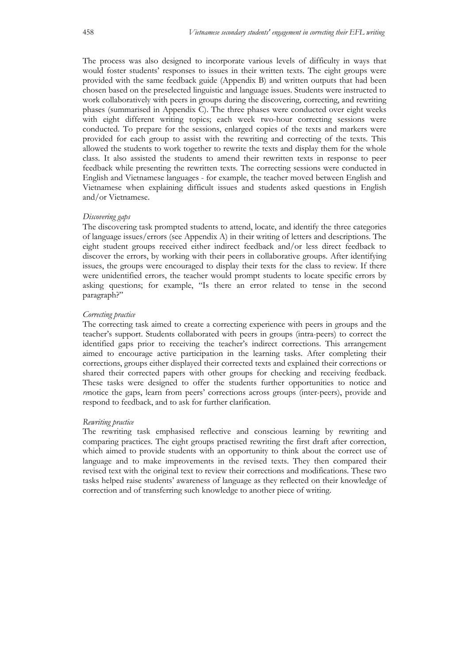The process was also designed to incorporate various levels of difficulty in ways that would foster students' responses to issues in their written texts. The eight groups were provided with the same feedback guide (Appendix B) and written outputs that had been chosen based on the preselected linguistic and language issues. Students were instructed to work collaboratively with peers in groups during the discovering, correcting, and rewriting phases (summarised in Appendix C). The three phases were conducted over eight weeks with eight different writing topics; each week two-hour correcting sessions were conducted. To prepare for the sessions, enlarged copies of the texts and markers were provided for each group to assist with the rewriting and correcting of the texts. This allowed the students to work together to rewrite the texts and display them for the whole class. It also assisted the students to amend their rewritten texts in response to peer feedback while presenting the rewritten texts. The correcting sessions were conducted in English and Vietnamese languages - for example, the teacher moved between English and Vietnamese when explaining difficult issues and students asked questions in English and/or Vietnamese.

#### *Discovering gaps*

The discovering task prompted students to attend, locate, and identify the three categories of language issues/errors (see Appendix A) in their writing of letters and descriptions. The eight student groups received either indirect feedback and/or less direct feedback to discover the errors, by working with their peers in collaborative groups. After identifying issues, the groups were encouraged to display their texts for the class to review. If there were unidentified errors, the teacher would prompt students to locate specific errors by asking questions; for example, "Is there an error related to tense in the second paragraph?"

## *Correcting practice*

The correcting task aimed to create a correcting experience with peers in groups and the teacher's support. Students collaborated with peers in groups (intra-peers) to correct the identified gaps prior to receiving the teacher's indirect corrections. This arrangement aimed to encourage active participation in the learning tasks. After completing their corrections, groups either displayed their corrected texts and explained their corrections or shared their corrected papers with other groups for checking and receiving feedback. These tasks were designed to offer the students further opportunities to notice and *re*notice the gaps, learn from peers' corrections across groups (inter-peers), provide and respond to feedback, and to ask for further clarification.

#### *Rewriting practice*

The rewriting task emphasised reflective and conscious learning by rewriting and comparing practices. The eight groups practised rewriting the first draft after correction, which aimed to provide students with an opportunity to think about the correct use of language and to make improvements in the revised texts. They then compared their revised text with the original text to review their corrections and modifications. These two tasks helped raise students' awareness of language as they reflected on their knowledge of correction and of transferring such knowledge to another piece of writing.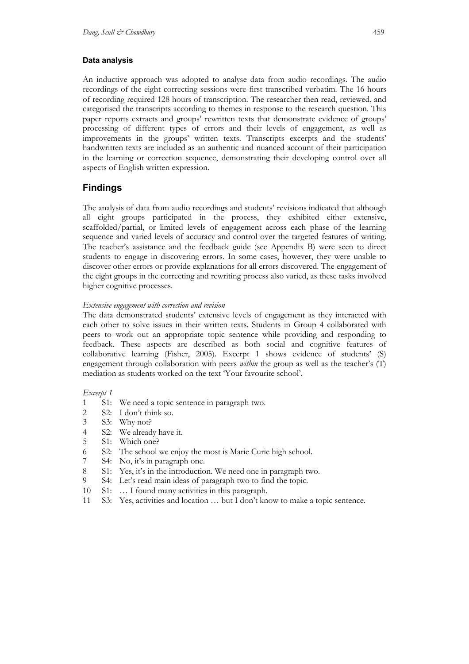#### **Data analysis**

An inductive approach was adopted to analyse data from audio recordings. The audio recordings of the eight correcting sessions were first transcribed verbatim. The 16 hours of recording required 128 hours of transcription. The researcher then read, reviewed, and categorised the transcripts according to themes in response to the research question. This paper reports extracts and groups' rewritten texts that demonstrate evidence of groups' processing of different types of errors and their levels of engagement, as well as improvements in the groups' written texts. Transcripts excerpts and the students' handwritten texts are included as an authentic and nuanced account of their participation in the learning or correction sequence, demonstrating their developing control over all aspects of English written expression.

## **Findings**

The analysis of data from audio recordings and students' revisions indicated that although all eight groups participated in the process, they exhibited either extensive, scaffolded/partial, or limited levels of engagement across each phase of the learning sequence and varied levels of accuracy and control over the targeted features of writing. The teacher's assistance and the feedback guide (see Appendix B) were seen to direct students to engage in discovering errors. In some cases, however, they were unable to discover other errors or provide explanations for all errors discovered. The engagement of the eight groups in the correcting and rewriting process also varied, as these tasks involved higher cognitive processes.

## *Extensive engagement with correction and revision*

The data demonstrated students' extensive levels of engagement as they interacted with each other to solve issues in their written texts. Students in Group 4 collaborated with peers to work out an appropriate topic sentence while providing and responding to feedback. These aspects are described as both social and cognitive features of collaborative learning (Fisher, 2005). Excerpt 1 shows evidence of students' (S) engagement through collaboration with peers *within* the group as well as the teacher's (T) mediation as students worked on the text 'Your favourite school'.

#### *Excerpt 1*

- 1 S1: We need a topic sentence in paragraph two.
- 2 S2: I don't think so.
- 3 S3: Why not?
- 4 S2: We already have it.
- 5 S1: Which one?
- 6 S2: The school we enjoy the most is Marie Curie high school.
- 7 S4: No, it's in paragraph one.
- 8 S1: Yes, it's in the introduction. We need one in paragraph two.
- 9 S4: Let's read main ideas of paragraph two to find the topic.
- 10 S1: … I found many activities in this paragraph.
- 11 S3: Yes, activities and location … but I don't know to make a topic sentence.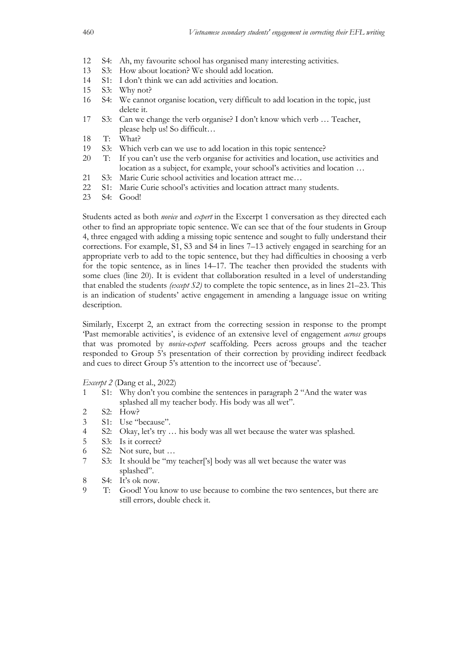- 12 S4: Ah, my favourite school has organised many interesting activities.
- 13 S3: How about location? We should add location.
- 14 S1: I don't think we can add activities and location.
- 15 S3: Why not?
- 16 S4: We cannot organise location, very difficult to add location in the topic, just delete it.
- 17 S3: Can we change the verb organise? I don't know which verb … Teacher, please help us! So difficult…
- 18 T: What?
- 19 S3: Which verb can we use to add location in this topic sentence?
- 20 T: If you can't use the verb organise for activities and location, use activities and location as a subject, for example, your school's activities and location …
- 21 S3: Marie Curie school activities and location attract me…
- 22 S1: Marie Curie school's activities and location attract many students.
- 23 S4: Good!

Students acted as both *novice* and *expert* in the Excerpt 1 conversation as they directed each other to find an appropriate topic sentence. We can see that of the four students in Group 4, three engaged with adding a missing topic sentence and sought to fully understand their corrections. For example, S1, S3 and S4 in lines 7–13 actively engaged in searching for an appropriate verb to add to the topic sentence, but they had difficulties in choosing a verb for the topic sentence, as in lines 14–17. The teacher then provided the students with some clues (line 20). It is evident that collaboration resulted in a level of understanding that enabled the students *(except S2)* to complete the topic sentence, as in lines 21–23. This is an indication of students' active engagement in amending a language issue on writing description.

Similarly, Excerpt 2, an extract from the correcting session in response to the prompt 'Past memorable activities', is evidence of an extensive level of engagement *across* groups that was promoted by *novice-expert* scaffolding. Peers across groups and the teacher responded to Group 5's presentation of their correction by providing indirect feedback and cues to direct Group 5's attention to the incorrect use of 'because'.

*Excerpt 2* (Dang et al., 2022)

- 1 S1: Why don't you combine the sentences in paragraph 2 "And the water was splashed all my teacher body. His body was all wet".
- 2 S2: How?
- 3 S1: Use "because".
- 4 S2: Okay, let's try … his body was all wet because the water was splashed.
- 5 S3: Is it correct?
- 6 S2: Not sure, but …
- 7 S3: It should be "my teacher['s] body was all wet because the water was splashed".
- 8 S4: It's ok now.
- 9 T: Good! You know to use because to combine the two sentences, but there are still errors, double check it.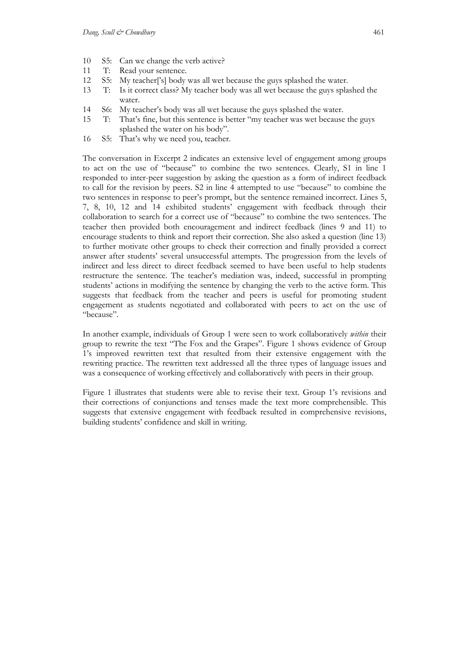- 10 S5: Can we change the verb active?
- 11 T: Read your sentence.
- 12 S5: My teacher['s] body was all wet because the guys splashed the water.
- 13 T: Is it correct class? My teacher body was all wet because the guys splashed the water.
- 14 S6: My teacher's body was all wet because the guys splashed the water.
- 15 T: That's fine, but this sentence is better "my teacher was wet because the guys splashed the water on his body".
- 16 S5: That's why we need you, teacher.

The conversation in Excerpt 2 indicates an extensive level of engagement among groups to act on the use of "because" to combine the two sentences. Clearly, S1 in line 1 responded to inter-peer suggestion by asking the question as a form of indirect feedback to call for the revision by peers. S2 in line 4 attempted to use "because" to combine the two sentences in response to peer's prompt, but the sentence remained incorrect. Lines 5, 7, 8, 10, 12 and 14 exhibited students' engagement with feedback through their collaboration to search for a correct use of "because" to combine the two sentences. The teacher then provided both encouragement and indirect feedback (lines 9 and 11) to encourage students to think and report their correction. She also asked a question (line 13) to further motivate other groups to check their correction and finally provided a correct answer after students' several unsuccessful attempts. The progression from the levels of indirect and less direct to direct feedback seemed to have been useful to help students restructure the sentence. The teacher's mediation was, indeed, successful in prompting students' actions in modifying the sentence by changing the verb to the active form. This suggests that feedback from the teacher and peers is useful for promoting student engagement as students negotiated and collaborated with peers to act on the use of "because".

In another example, individuals of Group 1 were seen to work collaboratively *within* their group to rewrite the text "The Fox and the Grapes". Figure 1 shows evidence of Group 1's improved rewritten text that resulted from their extensive engagement with the rewriting practice. The rewritten text addressed all the three types of language issues and was a consequence of working effectively and collaboratively with peers in their group.

Figure 1 illustrates that students were able to revise their text. Group 1's revisions and their corrections of conjunctions and tenses made the text more comprehensible. This suggests that extensive engagement with feedback resulted in comprehensive revisions, building students' confidence and skill in writing.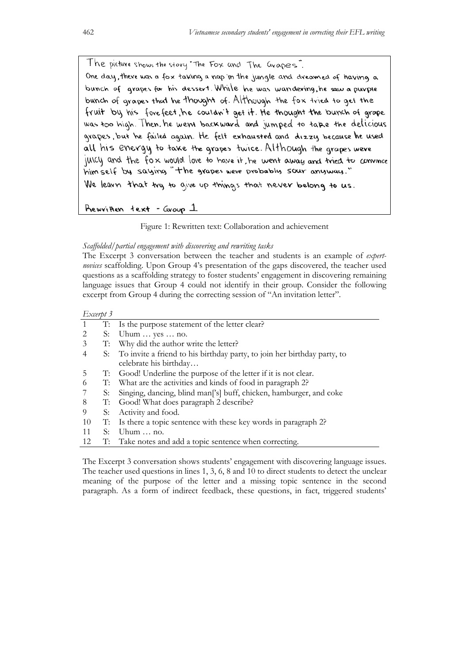The picture shows the story The Fox and The Grapes. One day, there was a fox taking a nop in the jungle and dreamed of having a bunch of grapes for his dessert. While he was wandering, he saw a purple bunch of grapes that he thought of. Although the fox tried to get the fruit by his forefeet, he couldn't get it. He thought the bunch of grape was too high. Then, he went backward and jumped to take the delicious grapes, but he failed again. He felt exhausted and dizzy because he used all his energy to take the grapes twice. Although the grapes were juilcy and the fox would love to have it, he went away and tried to convince him self by saying "the grapes were probably sour anyway."

We learn that try to give up things that never belong to us.

Rewritten text - Group 1

Figure 1: Rewritten text: Collaboration and achievement

#### *Scaffolded/partial engagement with discovering and rewriting tasks*

The Excerpt 3 conversation between the teacher and students is an example of *expertnovices* scaffolding. Upon Group 4's presentation of the gaps discovered, the teacher used questions as a scaffolding strategy to foster students' engagement in discovering remaining language issues that Group 4 could not identify in their group. Consider the following excerpt from Group 4 during the correcting session of "An invitation letter".

#### *Excerpt 3*

|               |    | T: Is the purpose statement of the letter clear?                               |
|---------------|----|--------------------------------------------------------------------------------|
|               | S: | Uhum $\ldots$ yes $\ldots$ no.                                                 |
| 3             |    | T: Why did the author write the letter?                                        |
| 4             | S: | To invite a friend to his birthday party, to join her birthday party, to       |
|               |    | celebrate his birthday                                                         |
| $\mathcal{D}$ |    | T: Good! Underline the purpose of the letter if it is not clear.               |
| 6             |    | T: What are the activities and kinds of food in paragraph 2?                   |
|               | S: | Singing, dancing, blind man <sup>['s]</sup> buff, chicken, hamburger, and coke |
| 8             |    | T: Good! What does paragraph 2 describe?                                       |
| 9             | S: | Activity and food.                                                             |
| 10            | T: | Is there a topic sentence with these key words in paragraph 2?                 |
| 11            | S: | Uhum $\dots$ no.                                                               |
| 12            | T: | Take notes and add a topic sentence when correcting.                           |
|               |    |                                                                                |

The Excerpt 3 conversation shows students' engagement with discovering language issues. The teacher used questions in lines 1, 3, 6, 8 and 10 to direct students to detect the unclear meaning of the purpose of the letter and a missing topic sentence in the second paragraph. As a form of indirect feedback, these questions, in fact, triggered students'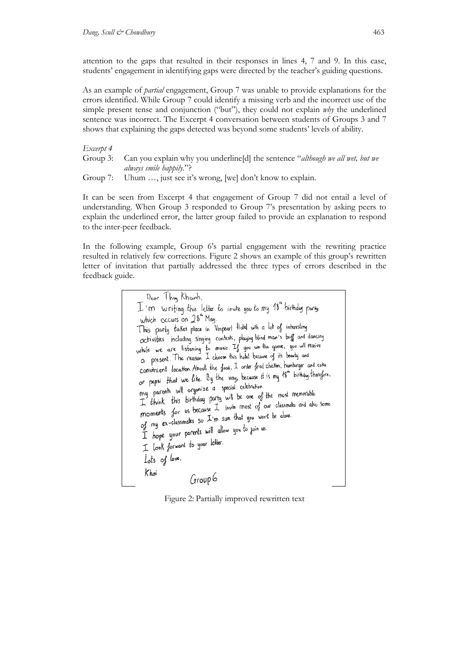attention to the gaps that resulted in their responses in lines 4, 7 and 9. In this case, students' engagement in identifying gaps were directed by the teacher's guiding questions.

As an example of *partial* engagement, Group 7 was unable to provide explanations for the errors identified. While Group 7 could identify a missing verb and the incorrect use of the simple present tense and conjunction ("but"), they could not explain *why* the underlined sentence was incorrect. The Excerpt 4 conversation between students of Groups 3 and 7 shows that explaining the gaps detected was beyond some students' levels of ability.

#### *Excerpt 4*

|  | Group 3: Can you explain why you underline [d] the sentence "although we all wet, but we |  |  |
|--|------------------------------------------------------------------------------------------|--|--|
|  | always smile happily."?                                                                  |  |  |
|  | $C$ roug $7$ . Uhum inst see it's wrong [wo] don't know to evolving                      |  |  |

Uhum …, just see it's wrong, [we] don't know to explain.

It can be seen from Excerpt 4 that engagement of Group 7 did not entail a level of understanding. When Group 3 responded to Group 7's presentation by asking peers to explain the underlined error, the latter group failed to provide an explanation to respond to the inter-peer feedback.

In the following example, Group 6's partial engagement with the rewriting practice resulted in relatively few corrections. Figure 2 shows an example of this group's rewritten letter of invitation that partially addressed the three types of errors described in the feedback guide.

> Dear They Khanh, I'm writing this letter to invite you to my 18" birthday party which occurs on 28<sup>th</sup> May. This party takes place in Vinpearl Hotel with a lot of interesting activities including singing contests, playing blind man's buff and dancing activities including singing contests, playing urna man. Suggest and anti-<br>while we are listening to music. If you win the game, you will reaive<br>a present. The reason I choose this hotel because of its beauty and ca present. The reason 2 chock the food. I order fried chicken, hamburger and coke convenient location. About the good, a city first chain, it is the birthday. therefore, or pepsi that we line. by the maj, women<br>my parents will organize a special celebration. my parents will organize a special celeviation.<br>I think this birthday party will be one of the most memorable T think this birthday party will be one of the most increments<br>moments for us because I invite most of our classmaks and also some<br>moments for us because I'm sine that you won't be alone. moments for us because 1 have most by our cancer.<br>of my ex-classmakes so I'm sure that you won't be alone. of my ex-classmates so a fill sub time is<br>I hope your parents will allow you to join us. I hope you price. Lots of love, Khoi Group 6

Figure 2: Partially improved rewritten text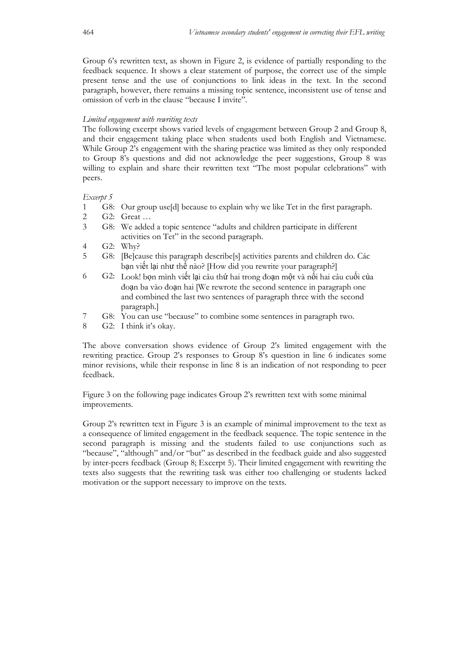Group 6's rewritten text, as shown in Figure 2, is evidence of partially responding to the feedback sequence. It shows a clear statement of purpose, the correct use of the simple present tense and the use of conjunctions to link ideas in the text. In the second paragraph, however, there remains a missing topic sentence, inconsistent use of tense and omission of verb in the clause "because I invite".

#### *Limited engagement with rewriting texts*

The following excerpt shows varied levels of engagement between Group 2 and Group 8, and their engagement taking place when students used both English and Vietnamese. While Group 2's engagement with the sharing practice was limited as they only responded to Group 8's questions and did not acknowledge the peer suggestions, Group 8 was willing to explain and share their rewritten text "The most popular celebrations" with peers.

## *Excerpt 5*

- 1 G8: Our group use[d] because to explain why we like Tet in the first paragraph.
- 2 G2: Great …
- 3 G8: We added a topic sentence "adults and children participate in different activities on Tet" in the second paragraph.
- 4 G2: Why?
- 5 G8: [Be]cause this paragraph describe[s] activities parents and children do. Các bạn viết lại như thế nào? [How did you rewrite your paragraph?]
- 6 G2: Look! bọn mình viết lại câu thứ hai trong đoạn một và nối hai câu cuối của đoạn ba vào đoạn hai [We rewrote the second sentence in paragraph one and combined the last two sentences of paragraph three with the second paragraph.]
- 7 G8: You can use "because" to combine some sentences in paragraph two.
- 8 G2: I think it's okay.

The above conversation shows evidence of Group 2's limited engagement with the rewriting practice. Group 2's responses to Group 8's question in line 6 indicates some minor revisions, while their response in line 8 is an indication of not responding to peer feedback.

Figure 3 on the following page indicates Group 2's rewritten text with some minimal improvements.

Group 2's rewritten text in Figure 3 is an example of minimal improvement to the text as a consequence of limited engagement in the feedback sequence. The topic sentence in the second paragraph is missing and the students failed to use conjunctions such as "because", "although" and/or "but" as described in the feedback guide and also suggested by inter-peers feedback (Group 8; Excerpt 5). Their limited engagement with rewriting the texts also suggests that the rewriting task was either too challenging or students lacked motivation or the support necessary to improve on the texts.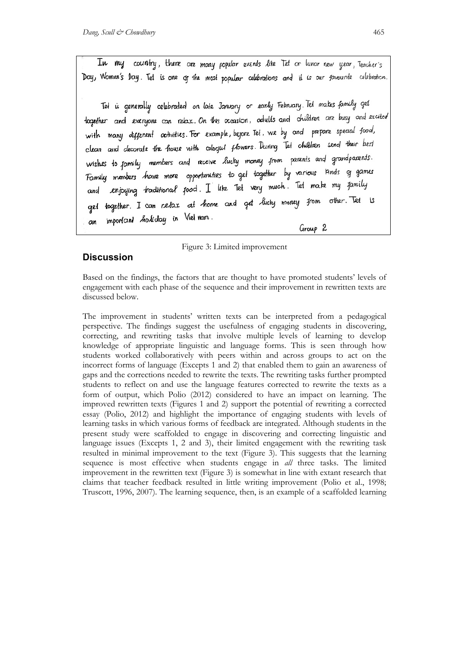In my country, there are many popular events like Tet or lunar new year, Teacher's Day, Women's Day. Tet is one of the most popular celebrations and it is our favourite celebration.

Tet is generally celebrated on late January or early February. Tet makes family get logether and everyone can relax. On this occasion, adults and children are busy and excited with many different activities. For example, before Tet, we by and prepare special food, clean and decorate the house with colorgul flowers. During Tet children send their best wishes to family members and receive lucky money from parents and grandparents. Family members have more opportunities to get together by various lands of games enjoying traditional jood. I like Tet very much. Tet make my jamily and get together. I can relax at home and get lucky money from other. Tet is important holiday in Vietnam. an

#### Group 2

#### Figure 3: Limited improvement

## **Discussion**

Based on the findings, the factors that are thought to have promoted students' levels of engagement with each phase of the sequence and their improvement in rewritten texts are discussed below.

The improvement in students' written texts can be interpreted from a pedagogical perspective. The findings suggest the usefulness of engaging students in discovering, correcting, and rewriting tasks that involve multiple levels of learning to develop knowledge of appropriate linguistic and language forms. This is seen through how students worked collaboratively with peers within and across groups to act on the incorrect forms of language (Excepts 1 and 2) that enabled them to gain an awareness of gaps and the corrections needed to rewrite the texts. The rewriting tasks further prompted students to reflect on and use the language features corrected to rewrite the texts as a form of output, which Polio (2012) considered to have an impact on learning. The improved rewritten texts (Figures 1 and 2) support the potential of rewriting a corrected essay (Polio, 2012) and highlight the importance of engaging students with levels of learning tasks in which various forms of feedback are integrated. Although students in the present study were scaffolded to engage in discovering and correcting linguistic and language issues (Excepts 1, 2 and 3), their limited engagement with the rewriting task resulted in minimal improvement to the text (Figure 3). This suggests that the learning sequence is most effective when students engage in *all* three tasks. The limited improvement in the rewritten text (Figure 3) is somewhat in line with extant research that claims that teacher feedback resulted in little writing improvement (Polio et al., 1998; Truscott, 1996, 2007). The learning sequence, then, is an example of a scaffolded learning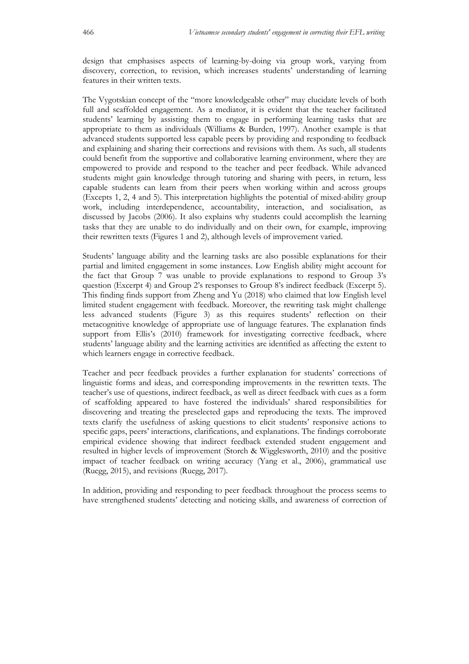design that emphasises aspects of learning-by-doing via group work, varying from discovery, correction, to revision, which increases students' understanding of learning features in their written texts.

The Vygotskian concept of the "more knowledgeable other" may elucidate levels of both full and scaffolded engagement. As a mediator, it is evident that the teacher facilitated students' learning by assisting them to engage in performing learning tasks that are appropriate to them as individuals (Williams & Burden, 1997). Another example is that advanced students supported less capable peers by providing and responding to feedback and explaining and sharing their corrections and revisions with them. As such, all students could benefit from the supportive and collaborative learning environment, where they are empowered to provide and respond to the teacher and peer feedback. While advanced students might gain knowledge through tutoring and sharing with peers, in return, less capable students can learn from their peers when working within and across groups (Excepts 1, 2, 4 and 5). This interpretation highlights the potential of mixed-ability group work, including interdependence, accountability, interaction, and socialisation, as discussed by Jacobs (2006). It also explains why students could accomplish the learning tasks that they are unable to do individually and on their own, for example, improving their rewritten texts (Figures 1 and 2), although levels of improvement varied.

Students' language ability and the learning tasks are also possible explanations for their partial and limited engagement in some instances. Low English ability might account for the fact that Group 7 was unable to provide explanations to respond to Group 3's question (Excerpt 4) and Group 2's responses to Group 8's indirect feedback (Excerpt 5). This finding finds support from Zheng and Yu (2018) who claimed that low English level limited student engagement with feedback. Moreover, the rewriting task might challenge less advanced students (Figure 3) as this requires students' reflection on their metacognitive knowledge of appropriate use of language features. The explanation finds support from Ellis's (2010) framework for investigating corrective feedback, where students' language ability and the learning activities are identified as affecting the extent to which learners engage in corrective feedback.

Teacher and peer feedback provides a further explanation for students' corrections of linguistic forms and ideas, and corresponding improvements in the rewritten texts. The teacher's use of questions, indirect feedback, as well as direct feedback with cues as a form of scaffolding appeared to have fostered the individuals' shared responsibilities for discovering and treating the preselected gaps and reproducing the texts. The improved texts clarify the usefulness of asking questions to elicit students' responsive actions to specific gaps, peers' interactions, clarifications, and explanations. The findings corroborate empirical evidence showing that indirect feedback extended student engagement and resulted in higher levels of improvement (Storch & Wigglesworth, 2010) and the positive impact of teacher feedback on writing accuracy (Yang et al., 2006), grammatical use (Ruegg, 2015), and revisions (Ruegg, 2017).

In addition, providing and responding to peer feedback throughout the process seems to have strengthened students' detecting and noticing skills, and awareness of correction of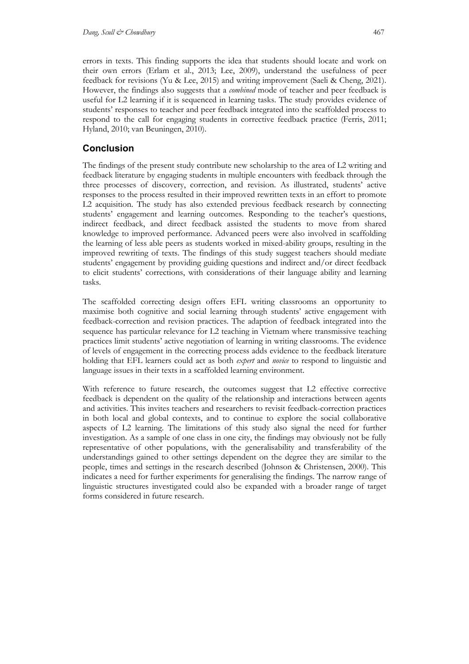errors in texts. This finding supports the idea that students should locate and work on their own errors (Erlam et al., 2013; Lee, 2009), understand the usefulness of peer feedback for revisions (Yu & Lee, 2015) and writing improvement (Saeli & Cheng, 2021). However, the findings also suggests that a *combined* mode of teacher and peer feedback is useful for L2 learning if it is sequenced in learning tasks. The study provides evidence of students' responses to teacher and peer feedback integrated into the scaffolded process to respond to the call for engaging students in corrective feedback practice (Ferris, 2011; Hyland, 2010; van Beuningen, 2010).

## **Conclusion**

The findings of the present study contribute new scholarship to the area of L2 writing and feedback literature by engaging students in multiple encounters with feedback through the three processes of discovery, correction, and revision. As illustrated, students' active responses to the process resulted in their improved rewritten texts in an effort to promote L2 acquisition. The study has also extended previous feedback research by connecting students' engagement and learning outcomes. Responding to the teacher's questions, indirect feedback, and direct feedback assisted the students to move from shared knowledge to improved performance. Advanced peers were also involved in scaffolding the learning of less able peers as students worked in mixed-ability groups, resulting in the improved rewriting of texts. The findings of this study suggest teachers should mediate students' engagement by providing guiding questions and indirect and/or direct feedback to elicit students' corrections, with considerations of their language ability and learning tasks.

The scaffolded correcting design offers EFL writing classrooms an opportunity to maximise both cognitive and social learning through students' active engagement with feedback-correction and revision practices. The adaption of feedback integrated into the sequence has particular relevance for L2 teaching in Vietnam where transmissive teaching practices limit students' active negotiation of learning in writing classrooms. The evidence of levels of engagement in the correcting process adds evidence to the feedback literature holding that EFL learners could act as both *expert* and *novice* to respond to linguistic and language issues in their texts in a scaffolded learning environment.

With reference to future research, the outcomes suggest that L2 effective corrective feedback is dependent on the quality of the relationship and interactions between agents and activities. This invites teachers and researchers to revisit feedback-correction practices in both local and global contexts, and to continue to explore the social collaborative aspects of L2 learning. The limitations of this study also signal the need for further investigation. As a sample of one class in one city, the findings may obviously not be fully representative of other populations, with the generalisability and transferability of the understandings gained to other settings dependent on the degree they are similar to the people, times and settings in the research described (Johnson & Christensen, 2000). This indicates a need for further experiments for generalising the findings. The narrow range of linguistic structures investigated could also be expanded with a broader range of target forms considered in future research.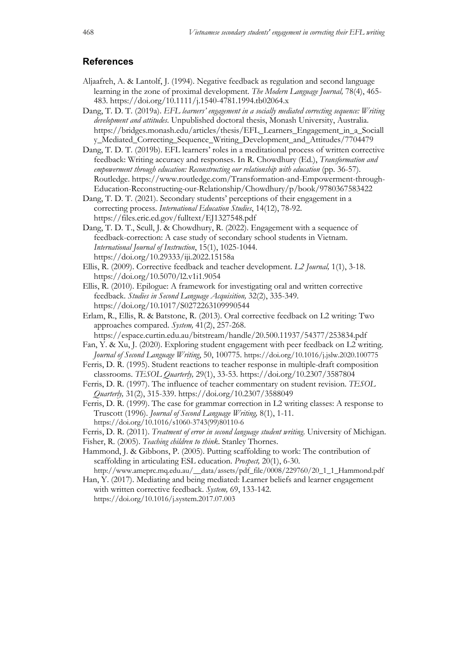## **References**

- Aljaafreh, A. & Lantolf, J. (1994). Negative feedback as regulation and second language learning in the zone of proximal development. *The Modern Language Journal,* 78(4), 465- 483. https://doi.org/10.1111/j.1540-4781.1994.tb02064.x
- Dang, T. D. T. (2019a). *EFL learners' engagement in a socially mediated correcting sequence: Writing development and attitudes*. Unpublished doctoral thesis, Monash University, Australia. https://bridges.monash.edu/articles/thesis/EFL\_Learners\_Engagement\_in\_a\_Sociall y\_Mediated\_Correcting\_Sequence\_Writing\_Development\_and\_Attitudes/7704479
- Dang, T. D. T. (2019b). EFL learners' roles in a meditational process of written corrective feedback: Writing accuracy and responses. In R. Chowdhury (Ed.), *Transformation and empowerment through education: Reconstructing our relationship with education* (pp. 36-57). Routledge. https://www.routledge.com/Transformation-and-Empowerment-through-Education-Reconstructing-our-Relationship/Chowdhury/p/book/9780367583422
- Dang, T. D. T. (2021). Secondary students' perceptions of their engagement in a correcting process. *International Education Studies*, 14(12), 78-92. https://files.eric.ed.gov/fulltext/EJ1327548.pdf
- Dang, T. D. T., Scull, J. & Chowdhury, R. (2022). Engagement with a sequence of feedback-correction: A case study of secondary school students in Vietnam. *International Journal of Instruction*, 15(1), 1025-1044. https://doi.org/10.29333/iji.2022.15158a
- Ellis, R. (2009). Corrective feedback and teacher development. *L2 Journal,* 1(1), 3-18. https://doi.org/10.5070/l2.v1i1.9054
- Ellis, R. (2010). Epilogue: A framework for investigating oral and written corrective feedback. *Studies in Second Language Acquisition,* 32(2), 335-349. https://doi.org/10.1017/S0272263109990544
- Erlam, R., Ellis, R. & Batstone, R. (2013). Oral corrective feedback on L2 writing: Two approaches compared. *System,* 41(2), 257-268.

https://espace.curtin.edu.au/bitstream/handle/20.500.11937/54377/253834.pdf Fan, Y. & Xu, J. (2020). Exploring student engagement with peer feedback on L2 writing.

- *Journal of Second Language Writing*, 50, 100775. https://doi.org/10.1016/j.jslw.2020.100775
- Ferris, D. R. (1995). Student reactions to teacher response in multiple-draft composition classrooms. *TESOL Quarterly,* 29(1), 33-53. https://doi.org/10.2307/3587804
- Ferris, D. R. (1997). The influence of teacher commentary on student revision. *TESOL Quarterly,* 31(2), 315-339. https://doi.org/10.2307/3588049
- Ferris, D. R. (1999). The case for grammar correction in L2 writing classes: A response to Truscott (1996). *Journal of Second Language Writing,* 8(1), 1-11. https://doi.org/10.1016/s1060-3743(99)80110-6

Ferris, D. R. (2011). *Treatment of error in second language student writing*. University of Michigan.

- Fisher, R. (2005). *Teaching children to think*. Stanley Thornes.
- Hammond, J. & Gibbons, P. (2005). Putting scaffolding to work: The contribution of scaffolding in articulating ESL education. *Prospect,* 20(1), 6-30.
- http://www.ameprc.mq.edu.au/\_\_data/assets/pdf\_file/0008/229760/20\_1\_1\_Hammond.pdf Han, Y. (2017). Mediating and being mediated: Learner beliefs and learner engagement with written corrective feedback. *System,* 69, 133-142.

https://doi.org/10.1016/j.system.2017.07.003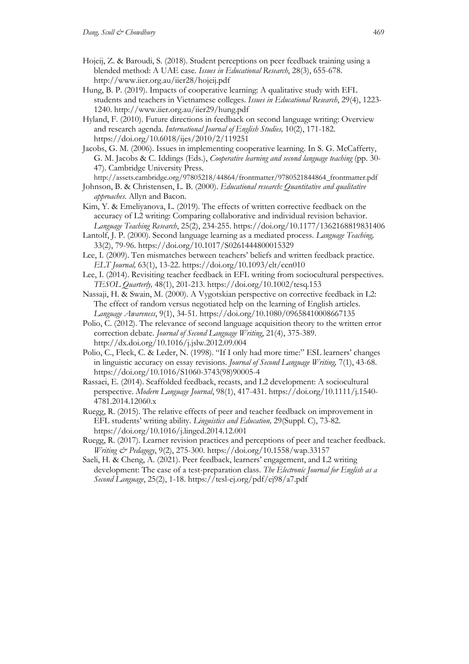- Hojeij, Z. & Baroudi, S. (2018). Student perceptions on peer feedback training using a blended method: A UAE case. *Issues in Educational Research*, 28(3), 655-678. http://www.iier.org.au/iier28/hojeij.pdf
- Hung, B. P. (2019). Impacts of cooperative learning: A qualitative study with EFL students and teachers in Vietnamese colleges. *Issues in Educational Research*, 29(4), 1223- 1240. http://www.iier.org.au/iier29/hung.pdf
- Hyland, F. (2010). Future directions in feedback on second language writing: Overview and research agenda. *International Journal of English Studies,* 10(2), 171-182. https://doi.org/10.6018/ijes/2010/2/119251
- Jacobs, G. M. (2006). Issues in implementing cooperative learning. In S. G. McCafferty, G. M. Jacobs & C. Iddings (Eds.), *Cooperative learning and second language teaching* (pp. 30- 47). Cambridge University Press.
- http://assets.cambridge.org/97805218/44864/frontmatter/9780521844864\_frontmatter.pdf
- Johnson, B. & Christensen, L. B. (2000). *Educational research: Quantitative and qualitative approaches*. Allyn and Bacon.
- Kim, Y. & Emeliyanova, L. (2019). The effects of written corrective feedback on the accuracy of L2 writing: Comparing collaborative and individual revision behavior. *Language Teaching Research*, 25(2), 234-255. https://doi.org/10.1177/1362168819831406
- Lantolf, J. P. (2000). Second language learning as a mediated process. *Language Teaching,* 33(2), 79-96. https://doi.org/10.1017/S0261444800015329
- Lee, I. (2009). Ten mismatches between teachers' beliefs and written feedback practice. *ELT Journal,* 63(1), 13-22. https://doi.org/10.1093/elt/ccn010
- Lee, I. (2014). Revisiting teacher feedback in EFL writing from sociocultural perspectives. *TESOL Quarterly,* 48(1), 201-213. https://doi.org/10.1002/tesq.153
- Nassaji, H. & Swain, M. (2000). A Vygotskian perspective on corrective feedback in L2: The effect of random versus negotiated help on the learning of English articles. *Language Awareness*, 9(1), 34-51. https://doi.org/10.1080/09658410008667135
- Polio, C. (2012). The relevance of second language acquisition theory to the written error correction debate. *Journal of Second Language Writing*, 21(4), 375-389. http://dx.doi.org/10.1016/j.jslw.2012.09.004
- Polio, C., Fleck, C. & Leder, N. (1998). "If I only had more time:" ESL learners' changes in linguistic accuracy on essay revisions. *Journal of Second Language Writing,* 7(1), 43-68. https://doi.org/10.1016/S1060-3743(98)90005-4
- Rassaei, E. (2014). Scaffolded feedback, recasts, and L2 development: A sociocultural perspective. *Modern Language Journal*, 98(1), 417-431. https://doi.org/10.1111/j.1540- 4781.2014.12060.x
- Ruegg, R. (2015). The relative effects of peer and teacher feedback on improvement in EFL students' writing ability. *Linguistics and Education,* 29(Suppl. C), 73-82. https://doi.org/10.1016/j.linged.2014.12.001
- Ruegg, R. (2017). Learner revision practices and perceptions of peer and teacher feedback. *Writing & Pedagogy*, 9(2), 275-300. https://doi.org/10.1558/wap.33157
- Saeli, H. & Cheng, A. (2021). Peer feedback, learners' engagement, and L2 writing development: The case of a test-preparation class. *The Electronic Journal for English as a Second Language*, 25(2), 1-18. https://tesl-ej.org/pdf/ej98/a7.pdf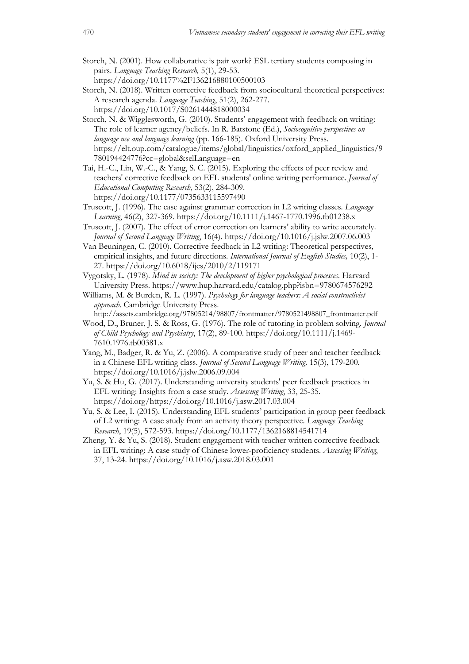- Storch, N. (2001). How collaborative is pair work? ESL tertiary students composing in pairs. *Language Teaching Research,* 5(1), 29-53. https://doi.org/10.1177%2F136216880100500103
- Storch, N. (2018). Written corrective feedback from sociocultural theoretical perspectives: A research agenda. *Language Teaching*, 51(2), 262-277. https://doi.org/10.1017/S0261444818000034
- Storch, N. & Wigglesworth, G. (2010). Students' engagement with feedback on writing: The role of learner agency/beliefs. In R. Batstone (Ed.), *Sociocognitive perspectives on language use and language learning* (pp. 166-185). Oxford University Press. https://elt.oup.com/catalogue/items/global/linguistics/oxford\_applied\_linguistics/9 780194424776?cc=global&selLanguage=en
- Tai, H.-C., Lin, W.-C., & Yang, S. C. (2015). Exploring the effects of peer review and teachers' corrective feedback on EFL students' online writing performance. *Journal of Educational Computing Research*, 53(2), 284-309. https://doi.org/10.1177/0735633115597490
- Truscott, J. (1996). The case against grammar correction in L2 writing classes. *Language Learning*, 46(2), 327-369. https://doi.org/10.1111/j.1467-1770.1996.tb01238.x
- Truscott, J. (2007). The effect of error correction on learners' ability to write accurately. *Journal of Second Language Writing*, 16(4). https://doi.org/10.1016/j.jslw.2007.06.003
- Van Beuningen, C. (2010). Corrective feedback in L2 writing: Theoretical perspectives, empirical insights, and future directions. *International Journal of English Studies,* 10(2), 1- 27. https://doi.org/10.6018/ijes/2010/2/119171
- Vygotsky, L. (1978). *Mind in society: The development of higher psychological processes*. Harvard University Press. https://www.hup.harvard.edu/catalog.php?isbn=9780674576292
- Williams, M. & Burden, R. L. (1997). *Psychology for language teachers: A social constructivist approach.* Cambridge University Press.
- http://assets.cambridge.org/97805214/98807/frontmatter/9780521498807\_frontmatter.pdf Wood, D., Bruner, J. S. & Ross, G. (1976). The role of tutoring in problem solving. *Journal of Child Psychology and Psychiatry*, 17(2), 89-100. https://doi.org/10.1111/j.1469-
	- 7610.1976.tb00381.x
- Yang, M., Badger, R. & Yu, Z. (2006). A comparative study of peer and teacher feedback in a Chinese EFL writing class. *Journal of Second Language Writing,* 15(3), 179-200. https://doi.org/10.1016/j.jslw.2006.09.004
- Yu, S. & Hu, G. (2017). Understanding university students' peer feedback practices in EFL writing: Insights from a case study. *Assessing Writing*, 33, 25-35. https://doi.org/https://doi.org/10.1016/j.asw.2017.03.004
- Yu, S. & Lee, I. (2015). Understanding EFL students' participation in group peer feedback of L2 writing: A case study from an activity theory perspective. *Language Teaching Research*, 19(5), 572-593. https://doi.org/10.1177/1362168814541714
- Zheng, Y. & Yu, S. (2018). Student engagement with teacher written corrective feedback in EFL writing: A case study of Chinese lower-proficiency students. *Assessing Writing*, 37, 13-24. https://doi.org/10.1016/j.asw.2018.03.001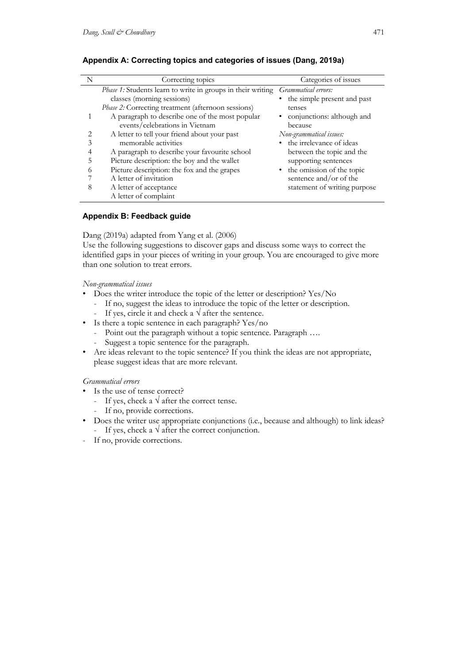| N | Correcting topics                                           | Categories of issues          |
|---|-------------------------------------------------------------|-------------------------------|
|   | Phase 1: Students learn to write in groups in their writing | Grammatical errors:           |
|   | classes (morning sessions)                                  | • the simple present and past |
|   | Phase 2: Correcting treatment (afternoon sessions)          | tenses                        |
|   | A paragraph to describe one of the most popular             | • conjunctions: although and  |
|   | events/celebrations in Vietnam                              | because                       |
|   | A letter to tell your friend about your past                | Non-grammatical issues:       |
|   | memorable activities                                        | • the irrelevance of ideas    |
|   | A paragraph to describe your favourite school               | between the topic and the     |
|   | Picture description: the boy and the wallet                 | supporting sentences          |
|   | Picture description: the fox and the grapes                 | • the omission of the topic   |
|   | A letter of invitation                                      | sentence and/or of the        |
| 8 | A letter of acceptance                                      | statement of writing purpose  |
|   | A letter of complaint                                       |                               |

## **Appendix A: Correcting topics and categories of issues (Dang, 2019a)**

## **Appendix B: Feedback guide**

#### Dang (2019a) adapted from Yang et al. (2006)

Use the following suggestions to discover gaps and discuss some ways to correct the identified gaps in your pieces of writing in your group. You are encouraged to give more than one solution to treat errors.

## *Non-grammatical issues*

- Does the writer introduce the topic of the letter or description? Yes/No
	- If no, suggest the ideas to introduce the topic of the letter or description.
	- If yes, circle it and check a  $\sqrt{ }$  after the sentence.
- Is there a topic sentence in each paragraph? Yes/no
	- Point out the paragraph without a topic sentence. Paragraph ….
	- Suggest a topic sentence for the paragraph.
- Are ideas relevant to the topic sentence? If you think the ideas are not appropriate, please suggest ideas that are more relevant.

#### *Grammatical errors*

- Is the use of tense correct?
	- If yes, check a  $\sqrt{\ }$  after the correct tense.
	- If no, provide corrections.
- Does the writer use appropriate conjunctions (i.e., because and although) to link ideas? - If yes, check a  $\sqrt{\ }$  after the correct conjunction.
- If no, provide corrections.